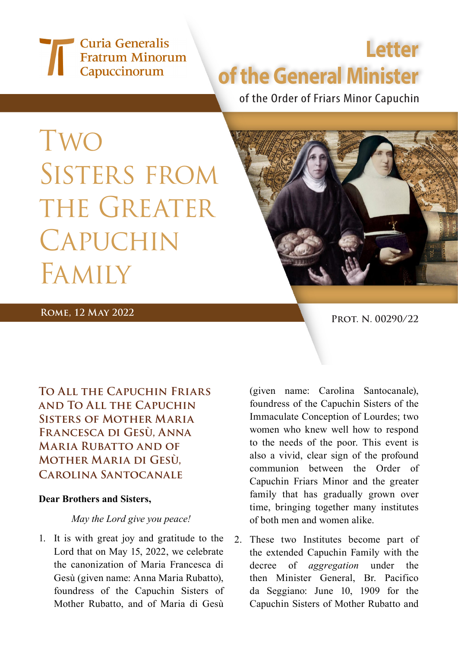## Curia Generalis **Fratrum Minorum** Capuccinorum

# **Letter of the General Minister**

of the Order of Friars Minor Capuchin

Two SISTERS FROM THE GREATER **CAPUCHIN** Family



### **ROME, 12 MAY 2022 PROT.** N. 00290/22

**To All the Capuchin Friars and To All the Capuchin Sisters of Mother Maria Francesca di Gesù, Anna Maria Rubatto and of Mother Maria di Gesù, Carolina Santocanale**

#### **Dear Brothers and Sisters,**

#### *May the Lord give you peace!*

1. It is with great joy and gratitude to the Lord that on May 15, 2022, we celebrate the canonization of Maria Francesca di Gesù (given name: Anna Maria Rubatto), foundress of the Capuchin Sisters of Mother Rubatto, and of Maria di Gesù

(given name: Carolina Santocanale), foundress of the Capuchin Sisters of the Immaculate Conception of Lourdes; two women who knew well how to respond to the needs of the poor. This event is also a vivid, clear sign of the profound communion between the Order of Capuchin Friars Minor and the greater family that has gradually grown over time, bringing together many institutes of both men and women alike.

2. These two Institutes become part of the extended Capuchin Family with the decree of *aggregation* under the then Minister General, Br. Pacifico da Seggiano: June 10, 1909 for the Capuchin Sisters of Mother Rubatto and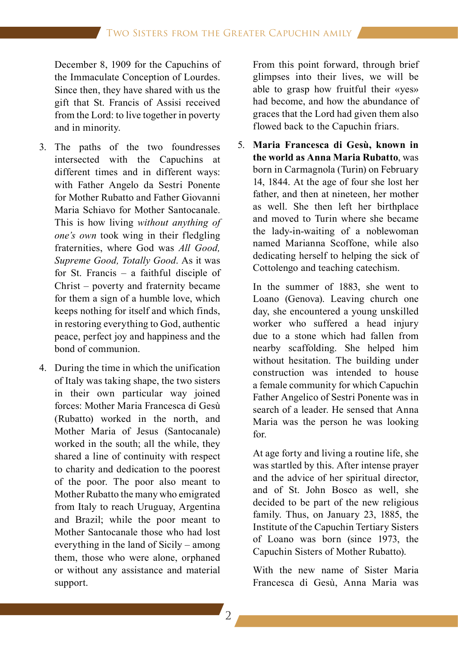December 8, 1909 for the Capuchins of the Immaculate Conception of Lourdes. Since then, they have shared with us the gift that St. Francis of Assisi received from the Lord: to live together in poverty and in minority.

- 3. The paths of the two foundresses intersected with the Capuchins at different times and in different ways: with Father Angelo da Sestri Ponente for Mother Rubatto and Father Giovanni Maria Schiavo for Mother Santocanale. This is how living *without anything of one's own* took wing in their fledgling fraternities, where God was *All Good, Supreme Good, Totally Good*. As it was for St. Francis – a faithful disciple of Christ – poverty and fraternity became for them a sign of a humble love, which keeps nothing for itself and which finds, in restoring everything to God, authentic peace, perfect joy and happiness and the bond of communion.
- 4. During the time in which the unification of Italy was taking shape, the two sisters in their own particular way joined forces: Mother Maria Francesca di Gesù (Rubatto) worked in the north, and Mother Maria of Jesus (Santocanale) worked in the south; all the while, they shared a line of continuity with respect to charity and dedication to the poorest of the poor. The poor also meant to Mother Rubatto the many who emigrated from Italy to reach Uruguay, Argentina and Brazil; while the poor meant to Mother Santocanale those who had lost everything in the land of Sicily – among them, those who were alone, orphaned or without any assistance and material support.

 From this point forward, through brief glimpses into their lives, we will be able to grasp how fruitful their «yes» had become, and how the abundance of graces that the Lord had given them also flowed back to the Capuchin friars.

5. **Maria Francesca di Gesù, known in the world as Anna Maria Rubatto**, was born in Carmagnola (Turin) on February 14, 1844. At the age of four she lost her father, and then at nineteen, her mother as well. She then left her birthplace and moved to Turin where she became the lady-in-waiting of a noblewoman named Marianna Scoffone, while also dedicating herself to helping the sick of Cottolengo and teaching catechism.

 In the summer of 1883, she went to Loano (Genova). Leaving church one day, she encountered a young unskilled worker who suffered a head injury due to a stone which had fallen from nearby scaffolding. She helped him without hesitation. The building under construction was intended to house a female community for which Capuchin Father Angelico of Sestri Ponente was in search of a leader. He sensed that Anna Maria was the person he was looking for.

 At age forty and living a routine life, she was startled by this. After intense prayer and the advice of her spiritual director, and of St. John Bosco as well, she decided to be part of the new religious family. Thus, on January 23, 1885, the Institute of the Capuchin Tertiary Sisters of Loano was born (since 1973, the Capuchin Sisters of Mother Rubatto).

 With the new name of Sister Maria Francesca di Gesù, Anna Maria was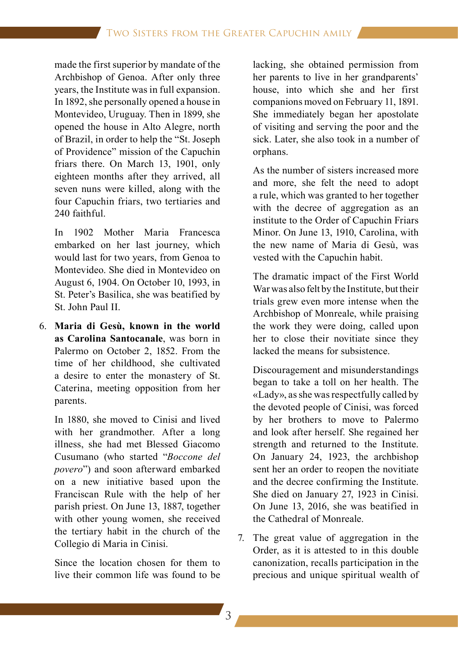made the first superior by mandate of the Archbishop of Genoa. After only three years, the Institute was in full expansion. In 1892, she personally opened a house in Montevideo, Uruguay. Then in 1899, she opened the house in Alto Alegre, north of Brazil, in order to help the "St. Joseph of Providence" mission of the Capuchin friars there. On March 13, 1901, only eighteen months after they arrived, all seven nuns were killed, along with the four Capuchin friars, two tertiaries and 240 faithful.

 In 1902 Mother Maria Francesca embarked on her last journey, which would last for two years, from Genoa to Montevideo. She died in Montevideo on August 6, 1904. On October 10, 1993, in St. Peter's Basilica, she was beatified by St. John Paul II.

6. **Maria di Gesù, known in the world as Carolina Santocanale**, was born in Palermo on October 2, 1852. From the time of her childhood, she cultivated a desire to enter the monastery of St. Caterina, meeting opposition from her parents.

 In 1880, she moved to Cinisi and lived with her grandmother. After a long illness, she had met Blessed Giacomo Cusumano (who started "*Boccone del povero*") and soon afterward embarked on a new initiative based upon the Franciscan Rule with the help of her parish priest. On June 13, 1887, together with other young women, she received the tertiary habit in the church of the Collegio di Maria in Cinisi.

 Since the location chosen for them to live their common life was found to be

lacking, she obtained permission from her parents to live in her grandparents' house, into which she and her first companions moved on February 11, 1891. She immediately began her apostolate of visiting and serving the poor and the sick. Later, she also took in a number of orphans.

 As the number of sisters increased more and more, she felt the need to adopt a rule, which was granted to her together with the decree of aggregation as an institute to the Order of Capuchin Friars Minor. On June 13, 1910, Carolina, with the new name of Maria di Gesù, was vested with the Capuchin habit.

 The dramatic impact of the First World War was also felt by the Institute, but their trials grew even more intense when the Archbishop of Monreale, while praising the work they were doing, called upon her to close their novitiate since they lacked the means for subsistence.

 Discouragement and misunderstandings began to take a toll on her health. The «Lady», as she was respectfully called by the devoted people of Cinisi, was forced by her brothers to move to Palermo and look after herself. She regained her strength and returned to the Institute. On January 24, 1923, the archbishop sent her an order to reopen the novitiate and the decree confirming the Institute. She died on January 27, 1923 in Cinisi. On June 13, 2016, she was beatified in the Cathedral of Monreale.

7. The great value of aggregation in the Order, as it is attested to in this double canonization, recalls participation in the precious and unique spiritual wealth of